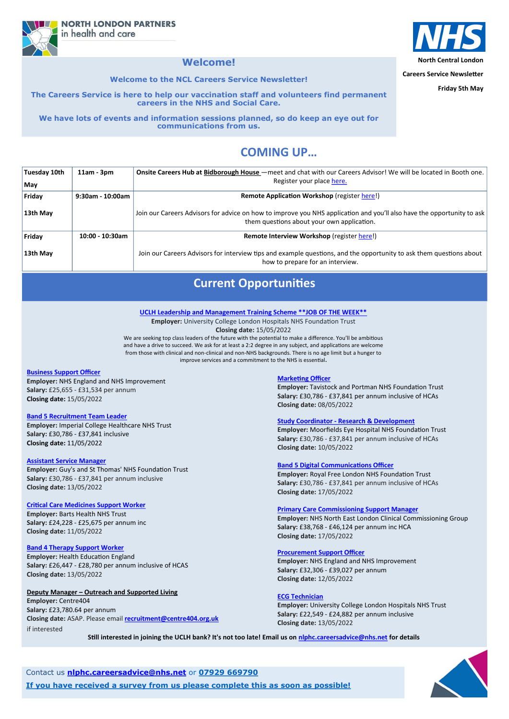**North Central London**

**Careers Service Newsletter**

**Friday 5th May**

# **COMING UP…**

**NORTH LONDON PARTNERS** in health and care

### **Welcome!**

**Welcome to the NCL Careers Service Newsletter!**

**The Careers Service is here to help our vaccination staff and volunteers find permanent careers in the NHS and Social Care.** 

**We have lots of events and information sessions planned, so do keep an eye out for communications from us.**

| <b>Tuesday 10th</b> | $11am - 3pm$       | Onsite Careers Hub at Bidborough House – meet and chat with our Careers Advisor! We will be located in Booth one.                                                    |
|---------------------|--------------------|----------------------------------------------------------------------------------------------------------------------------------------------------------------------|
| May                 |                    | Register your place here.                                                                                                                                            |
| Friday              | 9:30am - 10:00am   | <b>Remote Application Workshop (register here!)</b>                                                                                                                  |
| 13th May            |                    | Join our Careers Advisors for advice on how to improve you NHS application and you'll also have the opportunity to ask<br>them questions about your own application. |
| Friday              | $10:00 - 10:30$ am | Remote Interview Workshop (register here!)                                                                                                                           |
| 13th May            |                    | Join our Careers Advisors for interview tips and example questions, and the opportunity to ask them questions about<br>how to prepare for an interview.              |

Contact us **[nlphc.careersadvice@nhs.net](mailto:nlphc.careersadvice@nhs.net)** or **07929 669790**

**If you have received a survey from us please complete this as soon as possible!**



# **Current Opportunities**

### **[Business Support Officer](https://www.healthjobsuk.com/job/UK/West_Yorkshire/London/NHS_England_NHS_Improvement/System_Transformation_Team/System_Transformation_Team-v4141480?_ts=1948735)**

**Employer:** NHS England and NHS Improvement **Salary:** £25,655 - £31,534 per annum **Closing date:** 15/05/2022

### **[Band 5 Recruitment Team Leader](https://www.healthjobsuk.com/job/UK/London/London/Imperial_College_Healthcare_NHS_Trust/Recruitment/Recruitment-v4142977?_ts=1955423)**

**Employer:** Imperial College Healthcare NHS Trust **Salary:** £30,786 - £37,841 inclusive **Closing date:** 11/05/2022

### **[Assistant Service Manager](https://www.healthjobsuk.com/job/UK/London/London/Guys_St_Thomas_NHS_Foundation_Trust/Community_Paediatrics/Community_Paediatrics-v4144088?_ts=1957888)**

**Employer:** Guy's and St Thomas' NHS Foundation Trust **Salary:** £30,786 - £37,841 per annum inclusive **Closing date:** 13/05/2022

### **[Critical Care Medicines Support Worker](https://www.healthjobsuk.com/job/UK/London/London/Barts_Health_NHS_Trust/Critical_Care/Critical_Care-v4143742?_ts=87588)**

**Employer:** Barts Health NHS Trust **Salary:** £24,228 - £25,675 per annum inc **Closing date:** 11/05/2022

#### **[Band 4 Therapy Support Worker](https://www.healthjobsuk.com/job/UK/London/Enfield/Royal_Free_London_NHS_Foundation_Trust/Therapy_services/Therapy_services-v4073510?_ts=1966264)**

**Employer:** Health Education England **Salary:** £26,447 - £28,780 per annum inclusive of HCAS **Closing date:** 13/05/2022

### **Deputy Manager – Outreach and Supported Living**

**Employer:** Centre404 **Salary:** £23,780.64 per annum **Closing date:** ASAP. Please email **[recruitment@centre404.org.uk](mailto:recruitment@centre404.org.uk)** if interested

### **[Marketing Officer](https://www.healthjobsuk.com/job/UK/London/London/Tavistock_Portman_NHS_Foundation_Trust/Marketing_Officer/Marketing_Officer-v4100181?_ts=40862)**

**Employer:** Tavistock and Portman NHS Foundation Trust **Salary:** £30,786 - £37,841 per annum inclusive of HCAs **Closing date:** 08/05/2022

### **Study Coordinator - [Research & Development](https://www.healthjobsuk.com/job/UK/London/London/Moorfields_Eye_Hospital_NHS_Foundation_Trust/Research_Development/Research_Development-v4086115?_ts=47495)**

**Employer:** Moorfields Eye Hospital NHS Foundation Trust **Salary:** £30,786 - £37,841 per annum inclusive of HCAs **Closing date:** 10/05/2022

### **[Band 5 Digital Communications Officer](https://www.healthjobsuk.com/job/UK/London/Hampstead/Royal_Free_London_NHS_Foundation_Trust/Communications/Communications-v4155837?_ts=58009)**

**Employer:** Royal Free London NHS Foundation Trust **Salary:** £30,786 - £37,841 per annum inclusive of HCAs **Closing date:** 17/05/2022

### **[Primary Care Commissioning Support Manager](https://www.healthjobsuk.com/job/UK/London/London/NHS_North_East_London_Clinical_Commissioning_Group/Commissioning/Commissioning-v4162526?_ts=65227)**

**Employer:** NHS North East London Clinical Commissioning Group **Salary:** £38,768 - £46,124 per annum inc HCA **[C](https://www.healthjobsuk.com/job/UK/West_Yorkshire/London/NHS_England_NHS_Improvement/Procurement/Procurement-v4072056?_ts=69068)losing date:** 17/05/2022



#### **[Procurement Support Officer](https://www.healthjobsuk.com/job/UK/West_Yorkshire/London/NHS_England_NHS_Improvement/Procurement/Procurement-v4072056?_ts=69068)**

**Employer:** NHS England and NHS Improvement **Salary:** £32,306 - £39,027 per annum **Closing date:** 12/05/2022

### **[ECG Technician](https://www.healthjobsuk.com/job/-v4151493?_ts=97924)**

**Employer:** University College London Hospitals NHS Trust **Salary:** £22,549 - £24,882 per annum inclusive **Closing date:** 13/05/2022

**[UCLH Leadership and Management Training Scheme \\*\\*JOB OF THE WEEK\\*\\*](https://www.uclh.nhs.uk/work-with-us/current-vacancies#!/job/UK/London/London/University_College_London_Hospitals_NHS_Foundation_Trust/Leadership_management_training/Leadership_management_training-v4132710?_ts=242)**

**Employer:** University College London Hospitals NHS Foundation Trust **Closing date:** 15/05/2022

We are seeking top class leaders of the future with the potential to make a difference. You'll be ambitious and have a drive to succeed. We ask for at least a 2:2 degree in any subject, and applications are welcome from those with clinical and non-clinical and non-NHS backgrounds. There is no age limit but a hunger to improve services and a commitment to the NHS is essential**.**

**Still interested in joining the UCLH bank? It's not too late! Email us on [nlphc.careersadvice@nhs.net f](mailto:nlphc.careersadvice@nhs.net)or details**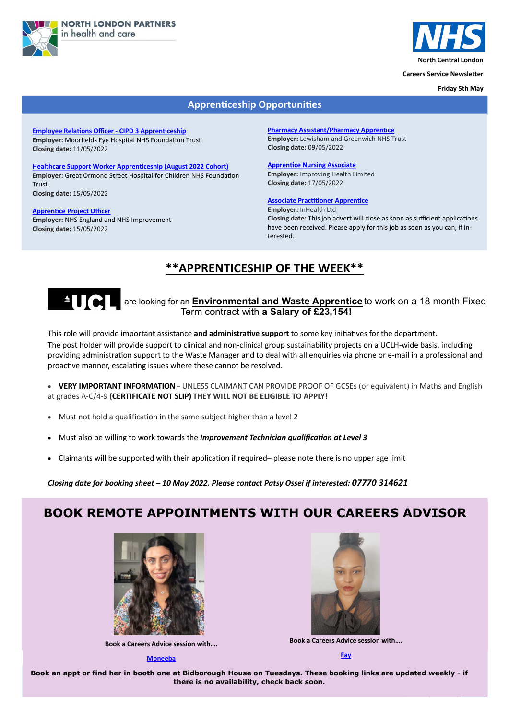



**North Central London**

**Careers Service Newsletter**

**Friday 5th May**

# **BOOK REMOTE APPOINTMENTS WITH OUR CAREERS ADVISOR**





Book an appt or find her in booth one at Bidborough House on Tuesdays. These booking links are updated weekly - if **If you have received a survey from us please complete this as soon as possible! there is no availability, check back soon.**



**Book a Careers Advice session with….**

#### **[Moneeba](https://calendly.com/nlphc-careersadvice/careers-advice-session-moneeba)**



### **Apprenticeship Opportunities**

**[Employee Relations Officer](https://www.healthjobsuk.com/job/UK/London/London/Moorfields_Eye_Hospital_NHS_Foundation_Trust/Human_Resources/Human_Resources-v4128029?_ts=1343) - CIPD 3 Apprenticeship Employer:** Moorfields Eye Hospital NHS Foundation Trust **Closing date:** 11/05/2022

### **[Healthcare Support Worker Apprenticeship \(August 2022 Cohort\)](https://www.healthjobsuk.com/job/UK/London/London/Great_Ormond_Street_Hospital_Children_NHS_Foundation_Trust/Across_all_specialties/Across_all_specialties-v4154471?_ts=10480) Employer:** Great Ormond Street Hospital for Children NHS Foundation Trust **Closing date:** 15/05/2022

## **ALCORE** are looking for an **Environmental and Waste Apprentice** to work on a 18 month Fixed Term contract with **a Salary of £23,154!**

**[Apprentice Project Officer](https://www.healthjobsuk.com/job/UK/West_Yorkshire/London/NHS_England_NHS_Improvement/Apprentice_Project_Officer/Apprentice_Project_Officer-v4116899?_ts=12935) Employer:** NHS England and NHS Improvement **Closing date:** 15/05/2022

**[Pharmacy Assistant/Pharmacy Apprentice](https://beta.jobs.nhs.uk/candidate/jobadvert/C9197-22-2353) Employer:** Lewisham and Greenwich NHS Trust **Closing date:** 09/05/2022

**[Apprentice Nursing Associate](https://beta.jobs.nhs.uk/candidate/jobadvert/B0262-22-1428) Employer:** Improving Health Limited **Closing date:** 17/05/2022

### **[Associate Practitioner Apprentice](https://www.jobs.nhs.uk/xi/vacancy/917183155)**

**Employer:** InHealth Ltd **Closing date:** This job advert will close as soon as sufficient applications have been received. Please apply for this job as soon as you can, if interested.

This role will provide important assistance **and administrative support** to some key initiatives for the department.

The post holder will provide support to clinical and non-clinical group sustainability projects on a UCLH-wide basis, including providing administration support to the Waste Manager and to deal with all enquiries via phone or e-mail in a professional and proactive manner, escalating issues where these cannot be resolved.

 **VERY IMPORTANT INFORMATION –** UNLESS CLAIMANT CAN PROVIDE PROOF OF GCSEs (or equivalent) in Maths and English at grades A-C/4-9 **(CERTIFICATE NOT SLIP) THEY WILL NOT BE ELIGIBLE TO APPLY!**

- Must not hold a qualification in the same subject higher than a level 2
- Must also be willing to work towards the *Improvement Technician qualification at Level 3*
- Claimants will be supported with their application if required– please note there is no upper age limit

*Closing date for booking sheet – 10 May 2022. Please contact Patsy Ossei if interested: 07770 314621* 

## **\*\*APPRENTICESHIP OF THE WEEK\*\***



**Book a Careers Advice session with….**

**[Fay](https://calendly.com/nlphc-careersadvice/careers-advice-session-fay)**